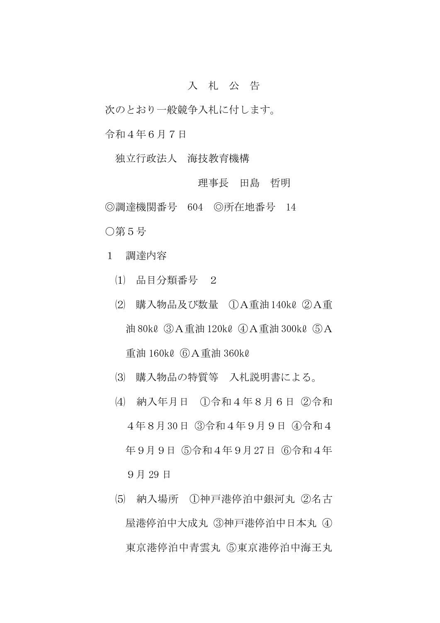## 入 札 公 告

次のとおり一般競争入札に付します。

令和4年6月7日

独立行政法人 海技教育機構

## 理事長 田島 哲明

◎調達機関番号 604 ◎所在地番号 14 ○第5号

- 1 調達内容
	- ⑴ 品目分類番号 2
	- ⑵ 購入物品及び数量 ①A重油140kℓ ②A重 油 80kℓ ③A重油 120kℓ ④A重油 300kℓ ⑤A 重油 160kℓ ⑥A重油 360kℓ
	- ⑶ 購入物品の特質等 入札説明書による。
	- ⑷ 納入年月日 ①令和4年8月6日 ②令和 4年8月30日 ③令和4年9月9日 ④令和4 年9月9日 ⑤令和4年9月27日 ⑥令和4年 9月 29 日
	- ⑸ 納入場所 ①神戸港停泊中銀河丸 ②名古 屋港停泊中大成丸 ③神戸港停泊中日本丸 ④ 東京港停泊中青雲丸 ⑤東京港停泊中海王丸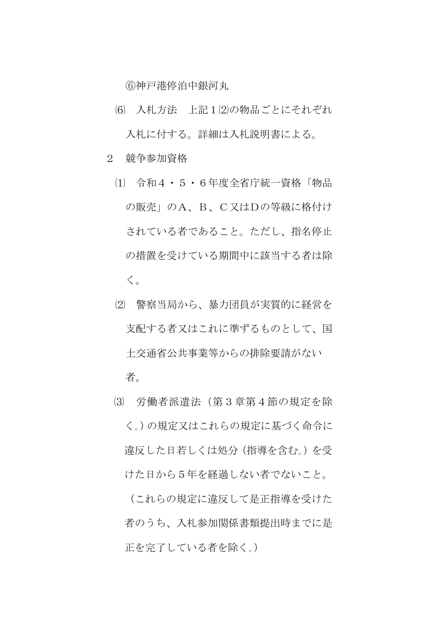⑥神戸港停泊中銀河丸

- ⑹ 入札方法 上記1⑵の物品ごとにそれぞれ 入札に付する。詳細は入札説明書による。
- 2 競争参加資格
	- ⑴ 令和4・5・6年度全省庁統一資格「物品 の販売」のA、B、C又はDの等級に格付け されている者であること。ただし、指名停止 の措置を受けている期間中に該当する者は除 く。
	- ⑵ 警察当局から、暴力団員が実質的に経営を 支配する者又はこれに準ずるものとして、国 土交通省公共事業等からの排除要請がない 者。
	- ⑶ 労働者派遣法(第3章第4節の規定を除 く。)の規定又はこれらの規定に基づく命令に 違反した日若しくは処分(指導を含む。)を受 けた日から5年を経過しない者でないこと。

(これらの規定に違反して是正指導を受けた 者のうち、入札参加関係書類提出時までに是 正を完了している者を除く。)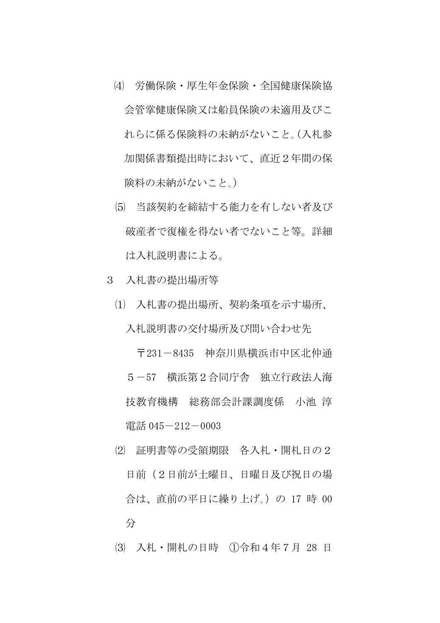- ⑷ 労働保険・厚生年金保険・全国健康保険協 会管掌健康保険又は船員保険の未適用及びこ れらに係る保険料の未納がないこと。(入札参 加関係書類提出時において、直近2年間の保 険料の未納がないこと。)
- ⑸ 当該契約を締結する能力を有しない者及び 破産者で復権を得ない者でないこと等。詳細 は入札説明書による。
- 3 入札書の提出場所等
	- ⑴ 入札書の提出場所、契約条項を示す場所、 入札説明書の交付場所及び問い合わせ先

〒231-8435 神奈川県横浜市中区北仲通 5-57 横浜第2合同庁舎 独立行政法人海 技教育機構 総務部会計課調度係 小池 淳 電話 045 $-212-0003$ 

- ⑵ 証明書等の受領期限 各入札・開札日の2 日前(2日前が土曜日、日曜日及び祝日の場 合は、直前の平日に繰り上げ。)の 17 時 00 分
- ⑶ 入札・開札の日時 ①令和4年7月 28 日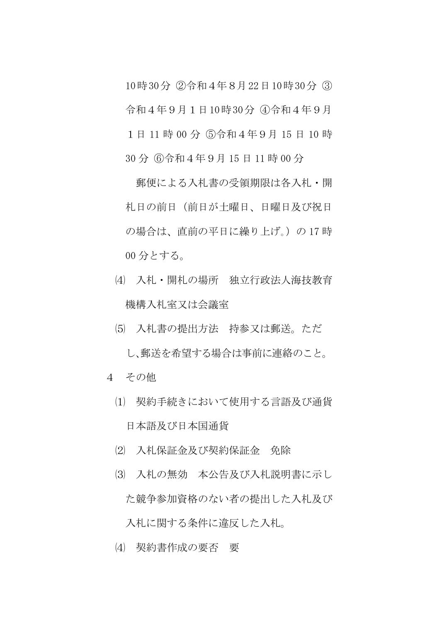10時30分 ②令和4年8月22日10時30分 ③ 令和4年9月1日10時30分 ④令和4年9月

1日 11 時 00 分 ⑤令和4年9月 15 日 10 時

30 分 ⑥令和4年9月 15 日 11 時 00 分

郵便による入札書の受領期限は各入札・開 札日の前日(前日が土曜日、日曜日及び祝日 の場合は、直前の平日に繰り上げ。)の17時 00 分とする。

- ⑷ 入札・開札の場所 独立行政法人海技教育 機構入札室又は会議室
- ⑸ 入札書の提出方法 持参又は郵送。ただ し、郵送を希望する場合は事前に連絡のこと。
- 4 その他
	- ⑴ 契約手続きにおいて使用する言語及び通貨 日本語及び日本国通貨
	- ⑵ 入札保証金及び契約保証金 免除
	- ⑶ 入札の無効 本公告及び入札説明書に示し た競争参加資格のない者の提出した入札及び 入札に関する条件に違反した入札。
	- ⑷ 契約書作成の要否 要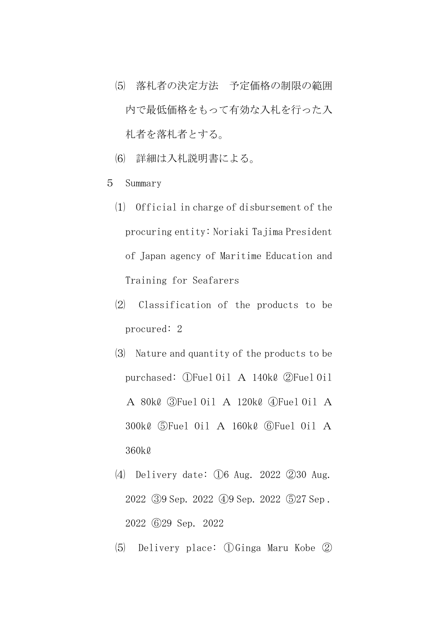- ⑸ 落札者の決定方法 予定価格の制限の範囲 内で最低価格をもって有効な入札を行った入 札者を落札者とする。
- ⑹ 詳細は入札説明書による。
- 5 Summary
	- ⑴ Official in charge of disbursement of the procuring entity: Noriaki Tajima President of Japan agency of Maritime Education and Training for Seafarers
	- ⑵ Classification of the products to be procured: 2
	- ⑶ Nature and quantity of the products to be purchased: ①Fuel Oil A 140kℓ ②Fuel Oil A 80kℓ ③Fuel Oil A 120kℓ ④Fuel Oil A 300kℓ ⑤Fuel Oil A 160kℓ ⑥Fuel Oil A 360kℓ
	- ⑷ Delivery date: ①6 Aug. 2022 ②30 Aug. 2022 ③9 Sep. 2022 ④9 Sep. 2022 ⑤27 Sep . 2022 ⑥29 Sep. 2022
	- ⑸ Delivery place: ①Ginga Maru Kobe ②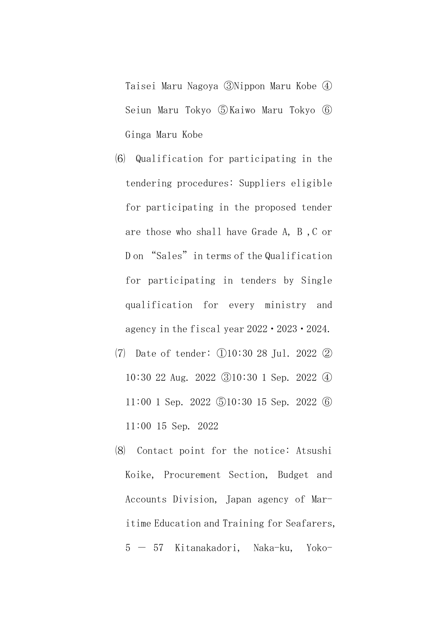Taisei Maru Nagoya ③Nippon Maru Kobe ④ Seiun Maru Tokyo ⑤Kaiwo Maru Tokyo ⑥ Ginga Maru Kobe

- ⑹ Qualification for participating in the tendering procedures: Suppliers eligible for participating in the proposed tender are those who shall have Grade A, B ,C or D on "Sales" in terms of the Qualification for participating in tenders by Single qualification for every ministry and agency in the fiscal year 2022・2023・2024.
- ⑺ Date of tender: ①10:30 28 Jul. 2022 ② 10:30 22 Aug. 2022 ③10:30 1 Sep. 2022 ④ 11:00 1 Sep. 2022 ⑤10:30 15 Sep. 2022 ⑥ 11:00 15 Sep. 2022
- ⑻ Contact point for the notice: Atsushi Koike, Procurement Section, Budget and Accounts Division, Japan agency of Maritime Education and Training for Seafarers, 5 - 57 Kitanakadori, Naka-ku, Yoko-